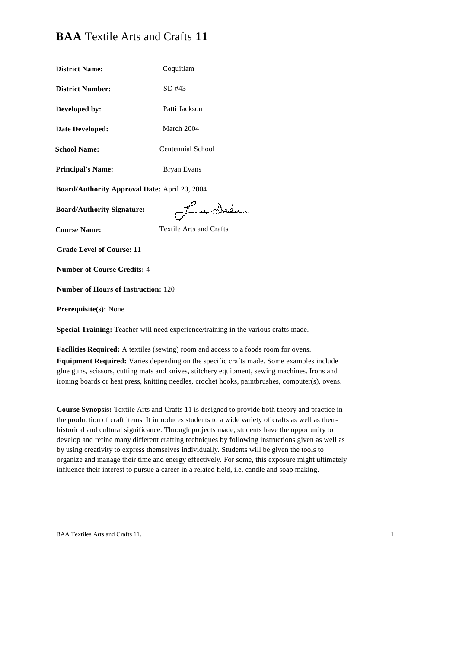# **BAA** Textile Arts and Crafts **11**

| <b>District Name:</b>                                                               | Coquitlam               |  |
|-------------------------------------------------------------------------------------|-------------------------|--|
| <b>District Number:</b>                                                             | SD #43                  |  |
| Developed by:                                                                       | Patti Jackson           |  |
| Date Developed:                                                                     | March 2004              |  |
| <b>School Name:</b>                                                                 | Centennial School       |  |
| <b>Principal's Name:</b>                                                            | <b>Bryan Evans</b>      |  |
| Board/Authority Approval Date: April 20, 2004                                       |                         |  |
| <b>Board/Authority Signature:</b>                                                   | man CHALam              |  |
| <b>Course Name:</b>                                                                 | Textile Arts and Crafts |  |
| <b>Grade Level of Course: 11</b>                                                    |                         |  |
| <b>Number of Course Credits: 4</b>                                                  |                         |  |
| <b>Number of Hours of Instruction: 120</b>                                          |                         |  |
| Prerequisite(s): None                                                               |                         |  |
| Special Training: Teacher will need experience/training in the various crafts made. |                         |  |

**Facilities Required:** A textiles (sewing) room and access to a foods room for ovens. **Equipment Required:** Varies depending on the specific crafts made. Some examples include glue guns, scissors, cutting mats and knives, stitchery equipment, sewing machines. Irons and ironing boards or heat press, knitting needles, crochet hooks, paintbrushes, computer(s), ovens.

**Course Synopsis:** Textile Arts and Crafts 11 is designed to provide both theory and practice in the production of craft items. It introduces students to a wide variety of crafts as well as thenhistorical and cultural significance. Through projects made, students have the opportunity to develop and refine many different crafting techniques by following instructions given as well as by using creativity to express themselves individually. Students will be given the tools to organize and manage their time and energy effectively. For some, this exposure might ultimately influence their interest to pursue a career in a related field, i.e. candle and soap making.

BAA Textiles Arts and Crafts 11. 1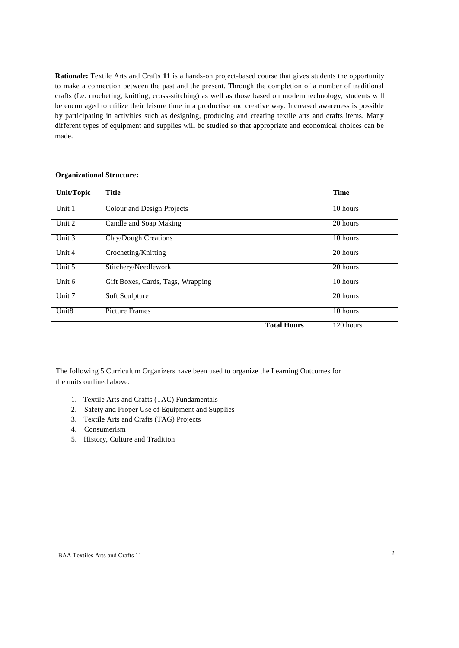**Rationale:** Textile Arts and Crafts **11** is a hands-on project-based course that gives students the opportunity to make a connection between the past and the present. Through the completion of a number of traditional crafts (Le. crocheting, knitting, cross-stitching) as well as those based on modern technology, students will be encouraged to utilize their leisure time in a productive and creative way. Increased awareness is possible by participating in activities such as designing, producing and creating textile arts and crafts items. Many different types of equipment and supplies will be studied so that appropriate and economical choices can be made.

| Unit/Topic        | <b>Title</b>                      | <b>Time</b>            |
|-------------------|-----------------------------------|------------------------|
| Unit 1            | <b>Colour and Design Projects</b> | 10 hours               |
| Unit 2            | Candle and Soap Making            | 20 hours               |
| Unit $3$          | <b>Clay/Dough Creations</b>       | 10 hours               |
| Unit $4$          | Crocheting/Knitting               | 20 hours               |
| Unit $5$          | Stitchery/Needlework              | 20 hours               |
| Unit 6            | Gift Boxes, Cards, Tags, Wrapping | 10 hours               |
| Unit 7            | Soft Sculpture                    | 20 hours               |
| Unit <sub>8</sub> | <b>Picture Frames</b>             | 10 hours               |
|                   | <b>Total Hours</b>                | $\overline{120}$ hours |

### **Organizational Structure:**

The following 5 Curriculum Organizers have been used to organize the Learning Outcomes for the units outlined above:

- 1. Textile Arts and Crafts (TAC) Fundamentals
- 2. Safety and Proper Use of Equipment and Supplies
- 3. Textile Arts and Crafts (TAG) Projects
- 4. Consumerism
- 5. History, Culture and Tradition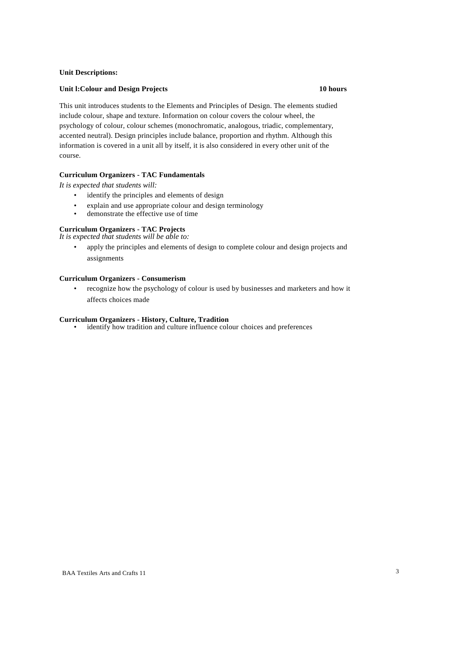#### **Unit Descriptions:**

#### **Unit l:Colour and Design Projects 10 hours**

This unit introduces students to the Elements and Principles of Design. The elements studied include colour, shape and texture. Information on colour covers the colour wheel, the psychology of colour, colour schemes (monochromatic, analogous, triadic, complementary, accented neutral). Design principles include balance, proportion and rhythm. Although this information is covered in a unit all by itself, it is also considered in every other unit of the course.

#### **Curriculum Organizers - TAC Fundamentals**

*It is expected that students will:*

- identify the principles and elements of design
- explain and use appropriate colour and design terminology<br>
demonstrate the effective use of time
- demonstrate the effective use of time

#### **Curriculum Organizers - TAC Projects**

*It is expected that students will be able to:*

• apply the principles and elements of design to complete colour and design projects and assignments

#### **Curriculum Organizers - Consumerism**

• recognize how the psychology of colour is used by businesses and marketers and how it affects choices made

#### **Curriculum Organizers - History, Culture, Tradition**

identify how tradition and culture influence colour choices and preferences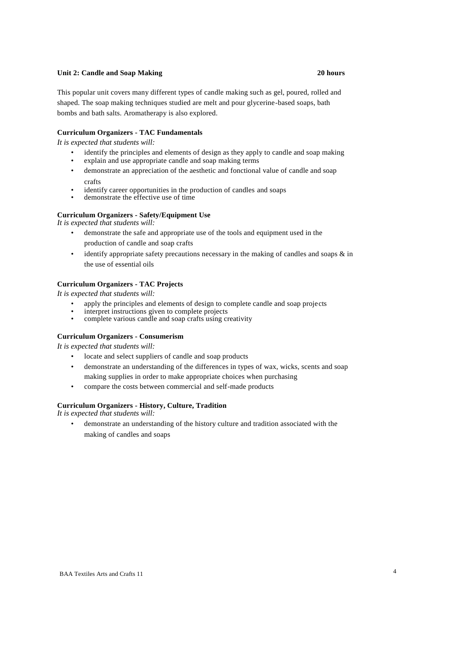#### **Unit 2: Candle and Soap Making 20 hours**

This popular unit covers many different types of candle making such as gel, poured, rolled and shaped. The soap making techniques studied are melt and pour glycerine-based soaps, bath bombs and bath salts. Aromatherapy is also explored.

### **Curriculum Organizers - TAC Fundamentals**

*It is expected that students will:*

- identify the principles and elements of design as they apply to candle and soap making explain and use appropriate candle and soap making terms
- demonstrate an appreciation of the aesthetic and fonctional value of candle and soap crafts
- identify career opportunities in the production of candles and soaps
- demonstrate the effective use of time

#### **Curriculum Organizers - Safety/Equipment Use**

*It is expected that students will:*

- demonstrate the safe and appropriate use of the tools and equipment used in the production of candle and soap crafts
- identify appropriate safety precautions necessary in the making of candles and soaps  $\&$  in the use of essential oils

#### **Curriculum Organizers - TAC Projects**

*It is expected that students will:*

- apply the principles and elements of design to complete candle and soap projects
- interpret instructions given to complete projects<br>• complete various candle and soap crafts using can
- complete various candle and soap crafts using creativity

#### **Curriculum Organizers - Consumerism**

*It is expected that students will:*

- locate and select suppliers of candle and soap products
- demonstrate an understanding of the differences in types of wax, wicks, scents and soap making supplies in order to make appropriate choices when purchasing
- compare the costs between commercial and self-made products

#### **Curriculum Organizers - History, Culture, Tradition**

*It is expected that students will:*

• demonstrate an understanding of the history culture and tradition associated with the making of candles and soaps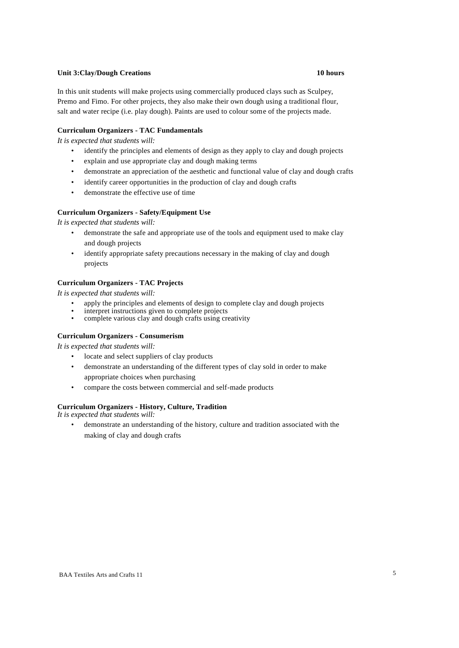### **Unit 3:Clay/Dough Creations 10 hours**

# In this unit students will make projects using commercially produced clays such as Sculpey, Premo and Fimo. For other projects, they also make their own dough using a traditional flour, salt and water recipe (i.e. play dough). Paints are used to colour some of the projects made.

### **Curriculum Organizers - TAC Fundamentals**

*It is expected that students will:*

- identify the principles and elements of design as they apply to clay and dough projects
- explain and use appropriate clay and dough making terms
- demonstrate an appreciation of the aesthetic and functional value of clay and dough crafts
- identify career opportunities in the production of clay and dough crafts
- demonstrate the effective use of time

#### **Curriculum Organizers - Safety/Equipment Use**

*It is expected that students will:*

- demonstrate the safe and appropriate use of the tools and equipment used to make clay and dough projects
- identify appropriate safety precautions necessary in the making of clay and dough projects

#### **Curriculum Organizers - TAC Projects**

*It is expected that students will:*

- apply the principles and elements of design to complete clay and dough projects
- interpret instructions given to complete projects
- complete various clay and dough crafts using creativity

#### **Curriculum Organizers - Consumerism**

*It is expected that students will:*

- locate and select suppliers of clay products
- demonstrate an understanding of the different types of clay sold in order to make appropriate choices when purchasing
- compare the costs between commercial and self-made products

#### **Curriculum Organizers - History, Culture, Tradition**

*It is expected that students will:*

• demonstrate an understanding of the history, culture and tradition associated with the making of clay and dough crafts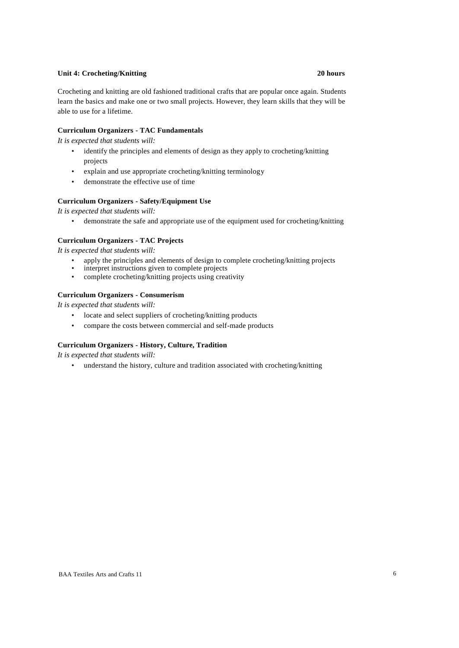#### **Unit 4: Crocheting/Knitting 20 hours**

Crocheting and knitting are old fashioned traditional crafts that are popular once again. Students learn the basics and make one or two small projects. However, they learn skills that they will be able to use for a lifetime.

#### **Curriculum Organizers - TAC Fundamentals**

*It is expected that students will:*

- identify the principles and elements of design as they apply to crocheting/knitting projects
- explain and use appropriate crocheting/knitting terminology
- demonstrate the effective use of time

#### **Curriculum Organizers - Safety/Equipment Use**

*It is expected that students will:*

• demonstrate the safe and appropriate use of the equipment used for crocheting/knitting

### **Curriculum Organizers - TAC Projects**

*It is expected that students will:*

- apply the principles and elements of design to complete crocheting/knitting projects<br>• interpret instructions given to complete projects
- interpret instructions given to complete projects
- complete crocheting/knitting projects using creativity

#### **Curriculum Organizers - Consumerism**

*It is expected that students will:*

- locate and select suppliers of crocheting/knitting products
- compare the costs between commercial and self-made products

#### **Curriculum Organizers - History, Culture, Tradition**

*It is expected that students will:*

• understand the history, culture and tradition associated with crocheting/knitting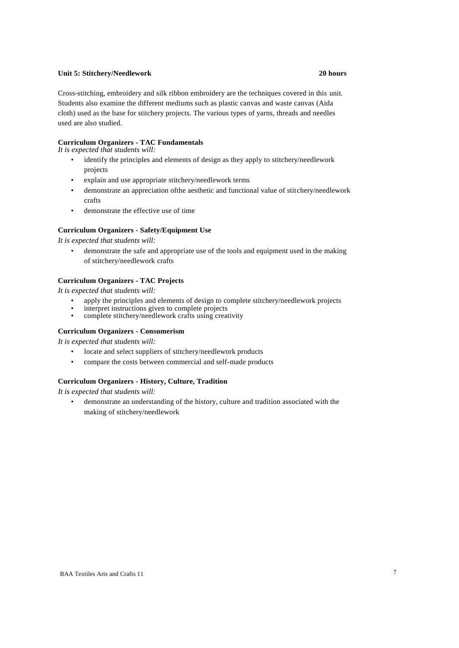#### **Unit 5: Stitchery/Needlework 20 hours**

Cross-stitching, embroidery and silk ribbon embroidery are the techniques covered in this unit. Students also examine the different mediums such as plastic canvas and waste canvas (Aida cloth) used as the base for stitchery projects. The various types of yarns, threads and needles used are also studied.

### **Curriculum Organizers - TAC Fundamentals**

*It is expected that students will:*

- identify the principles and elements of design as they apply to stitchery/needlework projects
- explain and use appropriate stitchery/needlework terms
- demonstrate an appreciation ofthe aesthetic and functional value of stitchery/needlework crafts
- demonstrate the effective use of time

#### **Curriculum Organizers - Safety/Equipment Use**

*It is expected that students will:*

• demonstrate the safe and appropriate use of the tools and equipment used in the making of stitchery/needlework crafts

#### **Curriculum Organizers - TAC Projects**

*It is expected that students will:*

- apply the principles and elements of design to complete stitchery/needlework projects
- interpret instructions given to complete projects<br>• complete stitchery/needlework crafts using crea
- complete stitchery/needlework crafts using creativity

#### **Curriculum Organizers - Consumerism**

*It is expected that students will:*

- locate and select suppliers of stitchery/needlework products
- compare the costs between commercial and self-made products

#### **Curriculum Organizers - History, Culture, Tradition**

*It is expected that students will:*

• demonstrate an understanding of the history, culture and tradition associated with the making of stitchery/needlework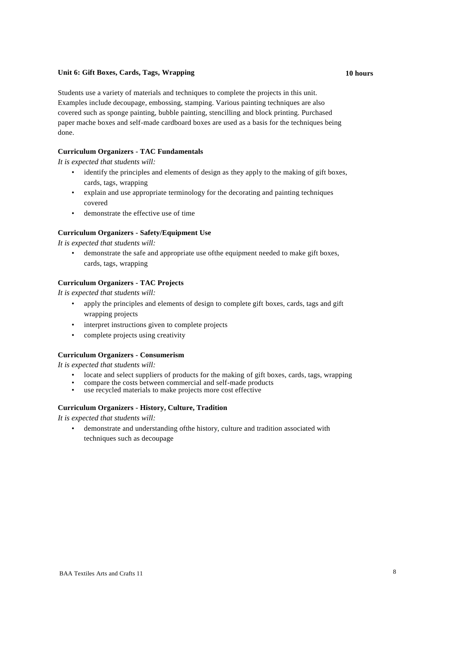#### **Unit 6: Gift Boxes, Cards, Tags, Wrapping 10 hours**

Students use a variety of materials and techniques to complete the projects in this unit. Examples include decoupage, embossing, stamping. Various painting techniques are also covered such as sponge painting, bubble painting, stencilling and block printing. Purchased paper mache boxes and self-made cardboard boxes are used as a basis for the techniques being done.

### **Curriculum Organizers - TAC Fundamentals**

*It is expected that students will:*

- identify the principles and elements of design as they apply to the making of gift boxes, cards, tags, wrapping
- explain and use appropriate terminology for the decorating and painting techniques covered
- demonstrate the effective use of time

#### **Curriculum Organizers - Safety/Equipment Use**

*It is expected that students will:*

• demonstrate the safe and appropriate use ofthe equipment needed to make gift boxes, cards, tags, wrapping

#### **Curriculum Organizers - TAC Projects**

*It is expected that students will:*

- apply the principles and elements of design to complete gift boxes, cards, tags and gift wrapping projects
- interpret instructions given to complete projects
- complete projects using creativity

#### **Curriculum Organizers - Consumerism**

*It is expected that students will:*

- locate and select suppliers of products for the making of gift boxes, cards, tags, wrapping
- compare the costs between commercial and self-made products<br>• use recycled materials to make projects more cost effective
- use recycled materials to make projects more cost effective

#### **Curriculum Organizers - History, Culture, Tradition**

*It is expected that students will:*

• demonstrate and understanding ofthe history, culture and tradition associated with techniques such as decoupage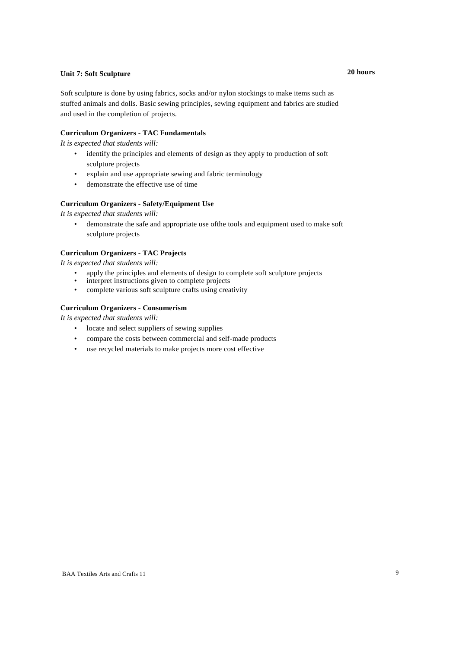# **Unit 7: Soft Sculpture 20 hours**

Soft sculpture is done by using fabrics, socks and/or nylon stockings to make items such as stuffed animals and dolls. Basic sewing principles, sewing equipment and fabrics are studied and used in the completion of projects.

#### **Curriculum Organizers - TAC Fundamentals**

*It is expected that students will:*

- identify the principles and elements of design as they apply to production of soft sculpture projects
- explain and use appropriate sewing and fabric terminology
- demonstrate the effective use of time

### **Curriculum Organizers - Safety/Equipment Use**

*It is expected that students will:*

• demonstrate the safe and appropriate use ofthe tools and equipment used to make soft sculpture projects

#### **Curriculum Organizers - TAC Projects**

*It is expected that students will:*

- apply the principles and elements of design to complete soft sculpture projects
- interpret instructions given to complete projects
- complete various soft sculpture crafts using creativity

#### **Curriculum Organizers - Consumerism**

*It is expected that students will:*

- locate and select suppliers of sewing supplies
- compare the costs between commercial and self-made products
- use recycled materials to make projects more cost effective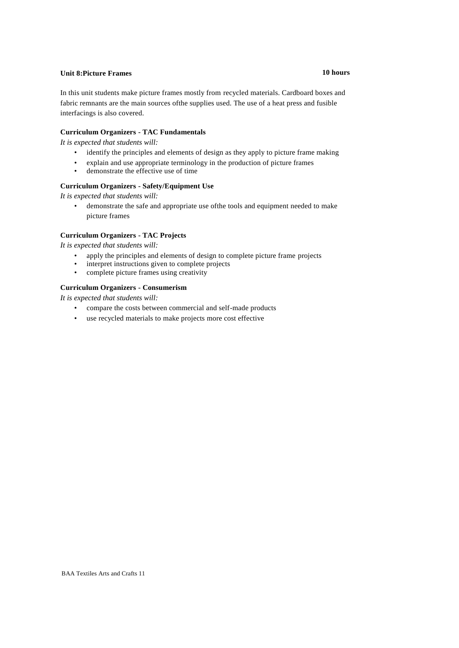# **Unit 8:Picture Frames 10 hours**

In this unit students make picture frames mostly from recycled materials. Cardboard boxes and fabric remnants are the main sources ofthe supplies used. The use of a heat press and fusible interfacings is also covered.

#### **Curriculum Organizers - TAC Fundamentals**

*It is expected that students will:*

- identify the principles and elements of design as they apply to picture frame making
- explain and use appropriate terminology in the production of picture frames
- demonstrate the effective use of time

### **Curriculum Organizers - Safety/Equipment Use**

*It is expected that students will:*

• demonstrate the safe and appropriate use ofthe tools and equipment needed to make picture frames

#### **Curriculum Organizers - TAC Projects**

*It is expected that students will:*

- apply the principles and elements of design to complete picture frame projects
- interpret instructions given to complete projects
- complete picture frames using creativity

#### **Curriculum Organizers - Consumerism**

*It is expected that students will:*

- compare the costs between commercial and self-made products
- use recycled materials to make projects more cost effective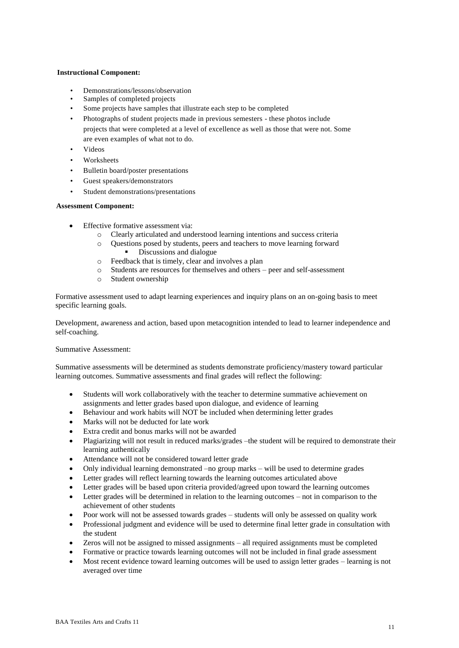#### **Instructional Component:**

- Demonstrations/lessons/observation
- Samples of completed projects
- Some projects have samples that illustrate each step to be completed
- Photographs of student projects made in previous semesters these photos include projects that were completed at a level of excellence as well as those that were not. Some are even examples of what not to do.
- Videos
- Worksheets
- Bulletin board/poster presentations
- Guest speakers/demonstrators
- Student demonstrations/presentations

#### **Assessment Component:**

- Effective formative assessment via:
	- o Clearly articulated and understood learning intentions and success criteria
	- o Questions posed by students, peers and teachers to move learning forward Discussions and dialogue
	- o Feedback that is timely, clear and involves a plan
	- o Students are resources for themselves and others peer and self-assessment
	- o Student ownership

Formative assessment used to adapt learning experiences and inquiry plans on an on-going basis to meet specific learning goals.

Development, awareness and action, based upon metacognition intended to lead to learner independence and self-coaching.

#### Summative Assessment:

Summative assessments will be determined as students demonstrate proficiency/mastery toward particular learning outcomes. Summative assessments and final grades will reflect the following:

- Students will work collaboratively with the teacher to determine summative achievement on assignments and letter grades based upon dialogue, and evidence of learning
- Behaviour and work habits will NOT be included when determining letter grades
- Marks will not be deducted for late work
- Extra credit and bonus marks will not be awarded
- Plagiarizing will not result in reduced marks/grades –the student will be required to demonstrate their learning authentically
- Attendance will not be considered toward letter grade
- Only individual learning demonstrated –no group marks will be used to determine grades
- Letter grades will reflect learning towards the learning outcomes articulated above
- Letter grades will be based upon criteria provided/agreed upon toward the learning outcomes
- Letter grades will be determined in relation to the learning outcomes not in comparison to the achievement of other students
- Poor work will not be assessed towards grades students will only be assessed on quality work
- Professional judgment and evidence will be used to determine final letter grade in consultation with the student
- Zeros will not be assigned to missed assignments all required assignments must be completed
- Formative or practice towards learning outcomes will not be included in final grade assessment
- Most recent evidence toward learning outcomes will be used to assign letter grades learning is not averaged over time